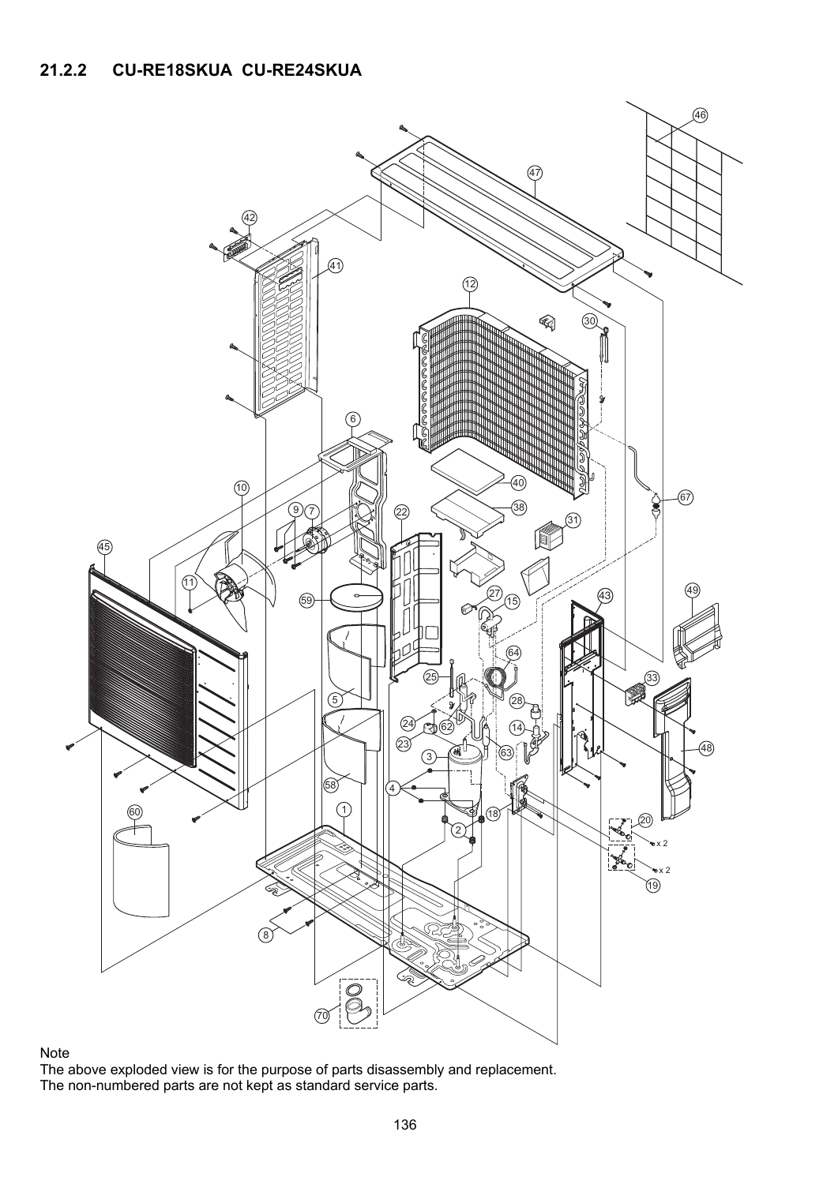

## Note

The above exploded view is for the purpose of parts disassembly and replacement. The non-numbered parts are not kept as standard service parts.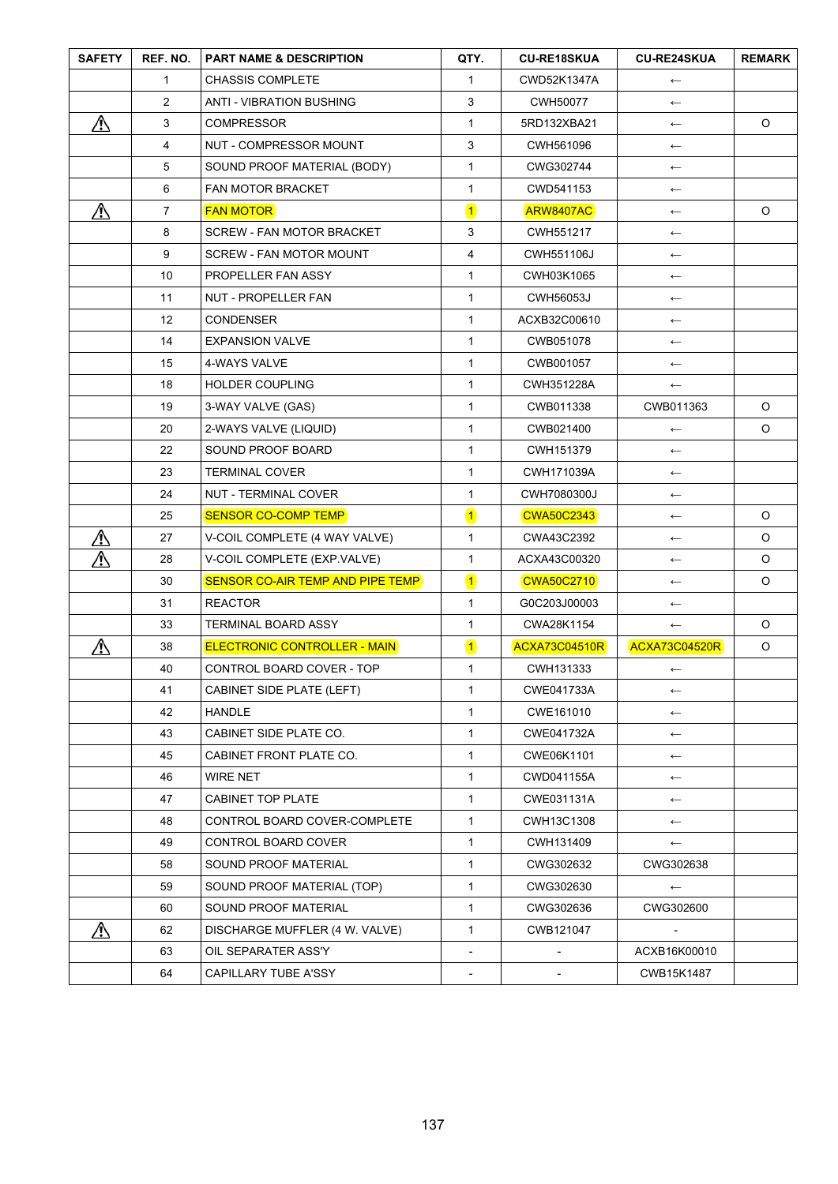| <b>SAFETY</b> | REF. NO.       | <b>PART NAME &amp; DESCRIPTION</b>  | QTY.                     | <b>CU-RE18SKUA</b>       | <b>CU-RE24SKUA</b>       | <b>REMARK</b> |
|---------------|----------------|-------------------------------------|--------------------------|--------------------------|--------------------------|---------------|
|               | $\mathbf{1}$   | <b>CHASSIS COMPLETE</b>             | $\mathbf{1}$             | CWD52K1347A              | $\longleftarrow$         |               |
|               | $\overline{2}$ | <b>ANTI - VIBRATION BUSHING</b>     | 3                        | CWH50077                 | $\longleftarrow$         |               |
| ⚠             | 3              | <b>COMPRESSOR</b>                   | $\mathbf{1}$             | 5RD132XBA21              | $\longleftarrow$         | $\circ$       |
|               | 4              | NUT - COMPRESSOR MOUNT              | 3                        | CWH561096                | $\longleftarrow$         |               |
|               | 5              | SOUND PROOF MATERIAL (BODY)         | $\mathbf{1}$             | CWG302744                | $\longleftarrow$         |               |
|               | 6              | <b>FAN MOTOR BRACKET</b>            | $\mathbf{1}$             | CWD541153                | $\longleftarrow$         |               |
| ⚠             | $\overline{7}$ | <b>FAN MOTOR</b>                    | $\overline{\mathbf{1}}$  | ARW8407AC                | $\longleftarrow$         | $\circ$       |
|               | 8              | <b>SCREW - FAN MOTOR BRACKET</b>    | $\mathbf{3}$             | CWH551217                | $\longleftarrow$         |               |
|               | 9              | <b>SCREW - FAN MOTOR MOUNT</b>      | $\overline{4}$           | CWH551106J               | $\longleftarrow$         |               |
|               | 10             | PROPELLER FAN ASSY                  | $\mathbf{1}$             | CWH03K1065               | $\longleftarrow$         |               |
|               | 11             | NUT - PROPELLER FAN                 | $\mathbf{1}$             | <b>CWH56053J</b>         | $\leftarrow$             |               |
|               | 12             | <b>CONDENSER</b>                    | $\mathbf{1}$             | ACXB32C00610             | $\longleftarrow$         |               |
|               | 14             | <b>EXPANSION VALVE</b>              | $\mathbf{1}$             | CWB051078                | $\longleftarrow$         |               |
|               | 15             | 4-WAYS VALVE                        | $\mathbf{1}$             | CWB001057                | $\longleftarrow$         |               |
|               | 18             | <b>HOLDER COUPLING</b>              | $\mathbf{1}$             | CWH351228A               | $\longleftarrow$         |               |
|               | 19             | 3-WAY VALVE (GAS)                   | $\mathbf{1}$             | CWB011338                | CWB011363                | $\circ$       |
|               | 20             | 2-WAYS VALVE (LIQUID)               | $\mathbf{1}$             | CWB021400                | $\longleftarrow$         | O             |
|               | 22             | SOUND PROOF BOARD                   | $\mathbf{1}$             | CWH151379                | $\longleftarrow$         |               |
|               | 23             | <b>TERMINAL COVER</b>               | $\mathbf{1}$             | CWH171039A               | $\longleftarrow$         |               |
|               | 24             | NUT - TERMINAL COVER                | $\mathbf{1}$             | CWH7080300J              | $\longleftarrow$         |               |
|               | 25             | <b>SENSOR CO-COMP TEMP</b>          | $\blacksquare$           | <b>CWA50C2343</b>        | $\longleftarrow$         | $\circ$       |
| ⚠             | 27             | V-COIL COMPLETE (4 WAY VALVE)       | $\mathbf{1}$             | CWA43C2392               | $\longleftarrow$         | $\circ$       |
| ⚠             | 28             | V-COIL COMPLETE (EXP.VALVE)         | $\mathbf{1}$             | ACXA43C00320             | $\longleftarrow$         | $\circ$       |
|               | 30             | SENSOR CO-AIR TEMP AND PIPE TEMP    | $\blacksquare$           | <b>CWA50C2710</b>        | $\longleftarrow$         | $\circ$       |
|               | 31             | <b>REACTOR</b>                      | $\mathbf{1}$             | G0C203J00003             | $\longleftarrow$         |               |
|               | 33             | <b>TERMINAL BOARD ASSY</b>          | $\mathbf{1}$             | CWA28K1154               | $\longleftarrow$         | $\circ$       |
| ⚠             | 38             | <b>ELECTRONIC CONTROLLER - MAIN</b> | $\overline{\mathbf{1}}$  | <b>ACXA73C04510R</b>     | ACXA73C04520R            | $\circ$       |
|               | 40             | CONTROL BOARD COVER - TOP           | $\mathbf{1}$             | CWH131333                | $\longleftarrow$         |               |
|               | 41             | CABINET SIDE PLATE (LEFT)           | $\mathbf{1}$             | CWE041733A               | $\longleftarrow$         |               |
|               | 42             | <b>HANDLE</b>                       | $\mathbf{1}$             | CWE161010                | $\longleftarrow$         |               |
|               | 43             | CABINET SIDE PLATE CO.              | $\mathbf{1}$             | CWE041732A               | $\longleftarrow$         |               |
|               | 45             | CABINET FRONT PLATE CO.             | $\mathbf{1}$             | CWE06K1101               | $\longleftarrow$         |               |
|               | 46             | <b>WIRE NET</b>                     | $\mathbf{1}$             | CWD041155A               | $\longleftarrow$         |               |
|               | 47             | CABINET TOP PLATE                   | $\mathbf{1}$             | CWE031131A               | $\longleftarrow$         |               |
|               | 48             | CONTROL BOARD COVER-COMPLETE        | $\mathbf{1}$             | CWH13C1308               | $\leftarrow$             |               |
|               | 49             | CONTROL BOARD COVER                 | $\mathbf{1}$             | CWH131409                | $\longleftarrow$         |               |
|               | 58             | SOUND PROOF MATERIAL                | $\mathbf{1}$             | CWG302632                | CWG302638                |               |
|               | 59             | SOUND PROOF MATERIAL (TOP)          | $\mathbf{1}$             | CWG302630                | $\longleftarrow$         |               |
|               | 60             | SOUND PROOF MATERIAL                | $\mathbf{1}$             | CWG302636                | CWG302600                |               |
| ⚠             | 62             | DISCHARGE MUFFLER (4 W. VALVE)      | $\mathbf{1}$             | CWB121047                | $\overline{\phantom{a}}$ |               |
|               | 63             | OIL SEPARATER ASS'Y                 | $\overline{\phantom{a}}$ | $\overline{\phantom{a}}$ | ACXB16K00010             |               |
|               | 64             | CAPILLARY TUBE A'SSY                |                          |                          | CWB15K1487               |               |